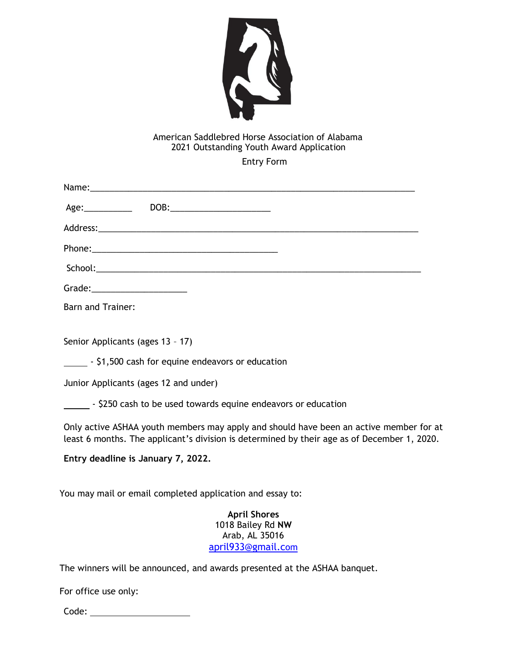

## American Saddlebred Horse Association of Alabama 2021 Outstanding Youth Award Application

Entry Form

| Grade:_______________________                                                                                                                                                         |
|---------------------------------------------------------------------------------------------------------------------------------------------------------------------------------------|
| <b>Barn and Trainer:</b>                                                                                                                                                              |
| Senior Applicants (ages 13 - 17)                                                                                                                                                      |
| - \$1,500 cash for equine endeavors or education                                                                                                                                      |
| Junior Applicants (ages 12 and under)                                                                                                                                                 |
| - \$250 cash to be used towards equine endeavors or education                                                                                                                         |
| Only active ASHAA youth members may apply and should have been an active member for at<br>least 6 months. The applicant's division is determined by their age as of December 1, 2020. |
| Entry deadline is January 7, 2022.                                                                                                                                                    |
| You may mail or email completed application and essay to:                                                                                                                             |
| <b>April Shores</b><br>1018 Bailey Rd NW<br>Arab, AL 35016<br>april933@gmail.com                                                                                                      |
| The winners will be announced, and awards presented at the ASHAA banquet.                                                                                                             |
| For office use only:                                                                                                                                                                  |
| Code: _________________________                                                                                                                                                       |